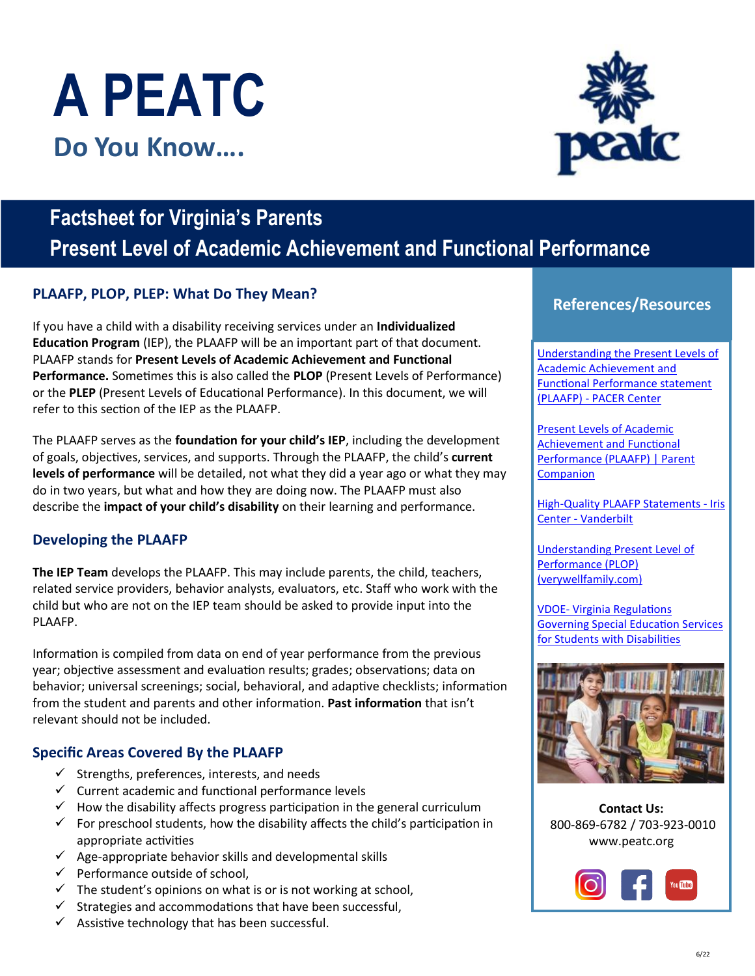# **A PEATC Do You Know….**

# **Factsheet for Virginia's Parents Present Level of Academic Achievement and Functional Performance**

# **References/Resources PLAAFP, PLOP, PLEP: What Do They Mean?**

If you have a child with a disability receiving services under an **Individualized Education Program** (IEP), the PLAAFP will be an important part of that document. PLAAFP stands for **Present Levels of Academic Achievement and Functional Performance.** Sometimes this is also called the **PLOP** (Present Levels of Performance) or the **PLEP** (Present Levels of Educational Performance). In this document, we will refer to this section of the IEP as the PLAAFP.

The PLAAFP serves as the **foundation for your child's IEP**, including the development of goals, objectives, services, and supports. Through the PLAAFP, the child's **current levels of performance** will be detailed, not what they did a year ago or what they may do in two years, but what and how they are doing now. The PLAAFP must also describe the **impact of your child's disability** on their learning and performance.

### **Developing the PLAAFP**

**The IEP Team** develops the PLAAFP. This may include parents, the child, teachers, related service providers, behavior analysts, evaluators, etc. Staff who work with the child but who are not on the IEP team should be asked to provide input into the PLAAFP.

Information is compiled from data on end of year performance from the previous year; objective assessment and evaluation results; grades; observations; data on behavior; universal screenings; social, behavioral, and adaptive checklists; information from the student and parents and other information. **Past information** that isn't relevant should not be included.

### **Specific Areas Covered By the PLAAFP**

- $\checkmark$  Strengths, preferences, interests, and needs
- $\checkmark$  Current academic and functional performance levels
- $\checkmark$  How the disability affects progress participation in the general curriculum
- $\checkmark$  For preschool students, how the disability affects the child's participation in appropriate activities
- $\checkmark$  Age-appropriate behavior skills and developmental skills
- $\checkmark$  Performance outside of school,
- $\checkmark$  The student's opinions on what is or is not working at school,
- $\checkmark$  Strategies and accommodations that have been successful,
- $\checkmark$  Assistive technology that has been successful.

Understanding the Present Levels of Academic Achievement and Functional Performance statement (PLAAFP) - PACER Center

Present Levels of Academic Achievement and Functional Performance (PLAAFP) | Parent **Companion** 

High-Quality PLAAFP Statements - Iris Center - Vanderbilt

Understanding Present Level of Performance (PLOP) (verywellfamily.com)

VDOE- Virginia Regulations Governing Special Education Services for Students with Disabilities



**Contact Us:**  800-869-6782 / 703-923-0010 [www.peatc.org](https://peatc.org/)